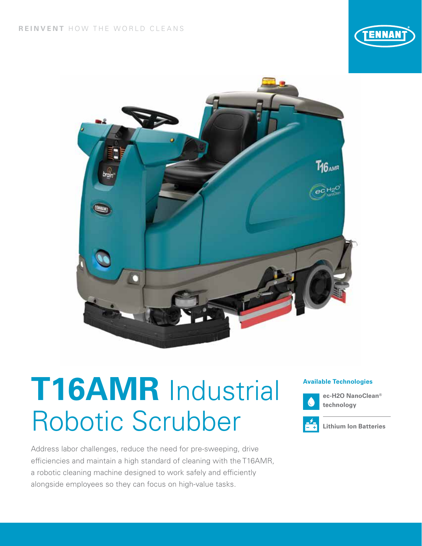



# **Available Technologies T16AMR** Industrial Robotic Scrubber

Address labor challenges, reduce the need for pre-sweeping, drive efficiencies and maintain a high standard of cleaning with the T16AMR, a robotic cleaning machine designed to work safely and efficiently alongside employees so they can focus on high-value tasks.



**ec-H2O NanoClean® technology**



**Lithium Ion Batteries**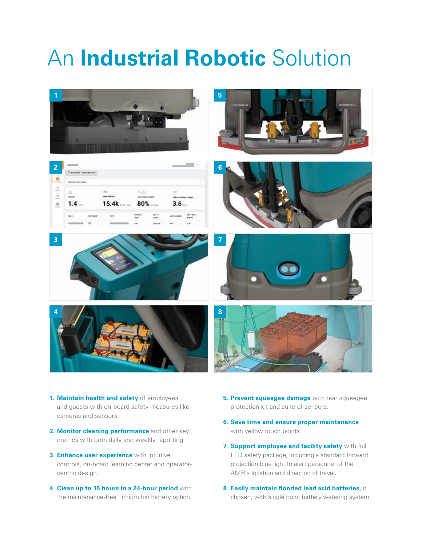## An **Industrial Robotic** Solution



- **1. Maintain health and safety** of employees and guests with on-board safety measures like cameras and sensors.
- **2. Monitor cleaning performance** and other key metrics with both daily and weekly reporting.
- **3. Enhance user experience** with intuitive controls, on-board learning center and operatorcentric design.
- **4. Clean up to 15 hours in a 24-hour period** with the maintenance-free Lithium Ion battery option.
- **5. Prevent squeegee damage** with rear squeegee protection kit and suite of sensors.
- **6. Save time and ensure proper maintenance**  with yellow touch points.
- **7. Support employee and facility safety** with full LED safety package, including a standard forward projection blue light to alert personnel of the AMR's location and direction of travel.
- **8. Easily maintain flooded lead acid batteries,** if chosen, with single point battery watering system.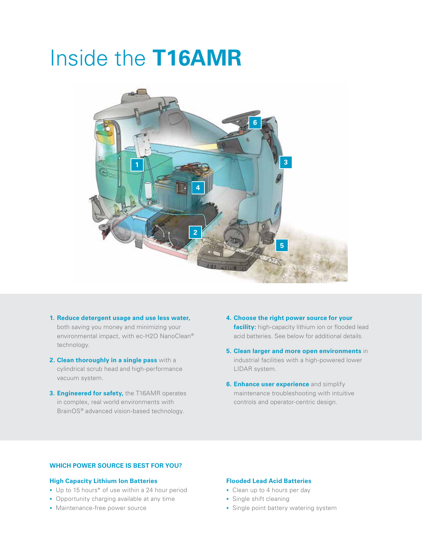## Inside the **T16AMR**



- **1. Reduce detergent usage and use less water,**  both saving you money and minimizing your environmental impact, with ec-H2O NanoClean® technology.
- **2. Clean thoroughly in a single pass** with a cylindrical scrub head and high-performance vacuum system.
- **3. Engineered for safety,** the T16AMR operates in complex, real world environments with BrainOS® advanced vision-based technology.
- **4. Choose the right power source for your facility:** high-capacity lithium ion or flooded lead acid batteries. See below for additional details.
- **5. Clean larger and more open environments** in industrial facilities with a high-powered lower LIDAR system.
- **6. Enhance user experience** and simplify maintenance troubleshooting with intuitive controls and operator-centric design.

#### **WHICH POWER SOURCE IS BEST FOR YOU?**

#### **High Capacity Lithium Ion Batteries**

- Up to 15 hours\* of use within a 24 hour period
- **Opportunity charging available at any time**
- **Maintenance-free power source**

#### **Flooded Lead Acid Batteries**

- Clean up to 4 hours per day
- Single shift cleaning
- **Single point battery watering system**